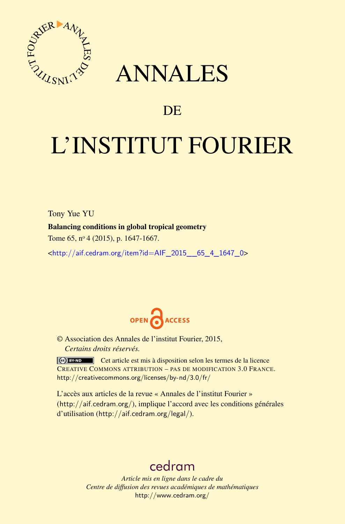

## ANNALES

### **DE**

# L'INSTITUT FOURIER

Tony Yue YU

#### Balancing conditions in global tropical geometry

Tome 65, nº 4 (2015), p. 1647-1667.

 $\kappa$ http://aif.cedram.org/item?id=AIF 2015 65 4 1647 0>



© Association des Annales de l'institut Fourier, 2015, *Certains droits réservés.*

Cet article est mis à disposition selon les termes de la licence CREATIVE COMMONS ATTRIBUTION – PAS DE MODIFICATION 3.0 FRANCE. <http://creativecommons.org/licenses/by-nd/3.0/fr/>

L'accès aux articles de la revue « Annales de l'institut Fourier » (<http://aif.cedram.org/>), implique l'accord avec les conditions générales d'utilisation (<http://aif.cedram.org/legal/>).

## [cedram](http://www.cedram.org/)

*Article mis en ligne dans le cadre du Centre de diffusion des revues académiques de mathématiques* <http://www.cedram.org/>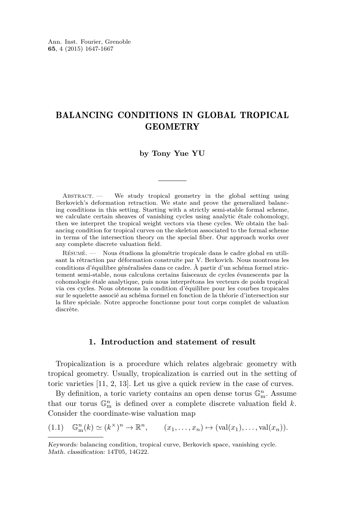#### <span id="page-1-0"></span>BALANCING CONDITIONS IN GLOBAL TROPICAL GEOMETRY

#### **by Tony Yue YU**

ABSTRACT. — We study tropical geometry in the global setting using Berkovich's deformation retraction. We state and prove the generalized balancing conditions in this setting. Starting with a strictly semi-stable formal scheme, we calculate certain sheaves of vanishing cycles using analytic étale cohomology, then we interpret the tropical weight vectors via these cycles. We obtain the balancing condition for tropical curves on the skeleton associated to the formal scheme in terms of the intersection theory on the special fiber. Our approach works over any complete discrete valuation field.

Résumé. — Nous étudions la géométrie tropicale dans le cadre global en utilisant la rétraction par déformation construite par V. Berkovich. Nous montrons les conditions d'équilibre généralisées dans ce cadre. À partir d'un schéma formel strictement semi-stable, nous calculons certains faisceaux de cycles évanescents par la cohomologie étale analytique, puis nous interprétons les vecteurs de poids tropical via ces cycles. Nous obtenons la condition d'équilibre pour les courbes tropicales sur le squelette associé au schéma formel en fonction de la théorie d'intersection sur la fibre spéciale. Notre approche fonctionne pour tout corps complet de valuation discrète.

#### **1. Introduction and statement of result**

Tropicalization is a procedure which relates algebraic geometry with tropical geometry. Usually, tropicalization is carried out in the setting of toric varieties [\[11,](#page-20-0) [2,](#page-20-0) [13\]](#page-20-0). Let us give a quick review in the case of curves.

By definition, a toric variety contains an open dense torus  $\mathbb{G}_{\mathrm{m}}^n$ . Assume that our torus  $\mathbb{G}_{\text{m}}^n$  is defined over a complete discrete valuation field *k*. Consider the coordinate-wise valuation map

$$
(1.1) \quad \mathbb{G}_{\mathbf{m}}^n(k) \simeq (k^\times)^n \to \mathbb{R}^n, \qquad (x_1, \ldots, x_n) \mapsto (\text{val}(x_1), \ldots, \text{val}(x_n)).
$$

Keywords: balancing condition, tropical curve, Berkovich space, vanishing cycle. Math. classification: 14T05, 14G22.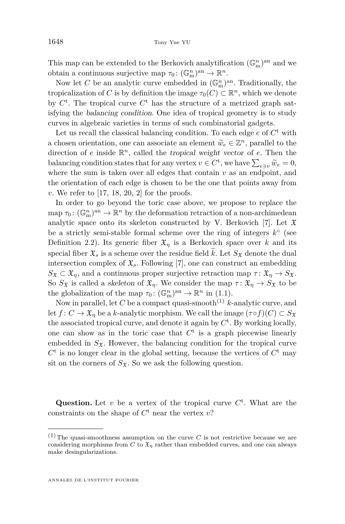This map can be extended to the Berkovich analytification  $(\mathbb{G}_{\mathrm{m}}^n)^{\mathrm{an}}$  and we obtain a continuous surjective map  $\tau_0: (\mathbb{G}_{m}^n)^{\text{an}} \to \mathbb{R}^n$ .

Now let *C* be an analytic curve embedded in  $(\mathbb{G}_{\text{m}}^n)^{\text{an}}$ . Traditionally, the tropicalization of *C* is by definition the image  $\tau_0(C) \subset \mathbb{R}^n$ , which we denote by  $C^t$ . The tropical curve  $C^t$  has the structure of a metrized graph satisfying the balancing condition. One idea of tropical geometry is to study curves in algebraic varieties in terms of such combinatorial gadgets.

Let us recall the classical balancing condition. To each edge  $e$  of  $C^t$  with a chosen orientation, one can associate an element  $\widetilde{w}_e \in \mathbb{Z}^n$ , parallel to the direction of a incide  $\mathbb{R}^n$ , colled the transiel weight vector of a Then the direction of *e* inside R *<sup>n</sup>*, called the tropical weight vector of *e*. Then the balancing condition states that for any vertex  $v \in C^{\dagger}$ , we have  $\sum_{e \ni v} \widetilde{w}_e = 0$ , where the sum is taken over all edges that contain  $v$  as an endpoint, and the orientation of each edge is chosen to be the one that points away from *v*. We refer to [\[17,](#page-20-0) [18,](#page-20-0) [20,](#page-20-0) [2\]](#page-20-0) for the proofs.

In order to go beyond the toric case above, we propose to replace the map  $\tau_0: (\mathbb{G}_{\mathrm{m}}^n)^{\mathrm{an}} \to \mathbb{R}^n$  by the deformation retraction of a non-archimedean analytic space onto its skeleton constructed by V. Berkovich [\[7\]](#page-20-0). Let  $\mathfrak X$ be a strictly semi-stable formal scheme over the ring of integers  $k^{\circ}$  (see Definition [2.2\)](#page-6-0). Its generic fiber  $\mathfrak{X}_n$  is a Berkovich space over *k* and its special fiber  $\mathfrak{X}_s$  is a scheme over the residue field  $\tilde{k}$ . Let  $S_{\mathfrak{X}}$  denote the dual intersection complex of  $\mathfrak{X}_s$ . Following [\[7\]](#page-20-0), one can construct an embedding  $S_{\mathfrak{X}} \subset \mathfrak{X}_\eta$ , and a continuous proper surjective retraction map  $\tau : \mathfrak{X}_\eta \to S_{\mathfrak{X}}$ . So  $S_x$  is called a skeleton of  $\mathfrak{X}_n$ . We consider the map  $\tau: \mathfrak{X}_n \to S_x$  to be the globalization of the map  $\tau_0: (\mathbb{G}_{m}^n)^{an} \to \mathbb{R}^n$  in [\(1.1\)](#page-1-0).

Now in parallel, let  $C$  be a compact quasi-smooth<sup>(1)</sup>  $k$ -analytic curve, and let  $f: C \to \mathfrak{X}_n$  be a *k*-analytic morphism. We call the image  $(\tau \circ f)(C) \subset S_{\mathfrak{X}}$ the associated tropical curve, and denote it again by  $C<sup>t</sup>$ . By working locally, one can show as in the toric case that  $C<sup>t</sup>$  is a graph piecewise linearly embedded in  $S_{\mathfrak{X}}$ . However, the balancing condition for the tropical curve  $C<sup>t</sup>$  is no longer clear in the global setting, because the vertices of  $C<sup>t</sup>$  may sit on the corners of  $S_{\mathfrak{X}}$ . So we ask the following question.

Question. Let  $v$  be a vertex of the tropical curve  $C^t$ . What are the constraints on the shape of  $C^t$  near the vertex  $v$ ?

ANNALES DE L'INSTITUT FOURIER

 $(1)$  The quasi-smoothness assumption on the curve *C* is not restrictive because we are considering morphisms from *C* to  $\mathfrak{X}_{\eta}$  rather than embedded curves, and one can always make desingularizations.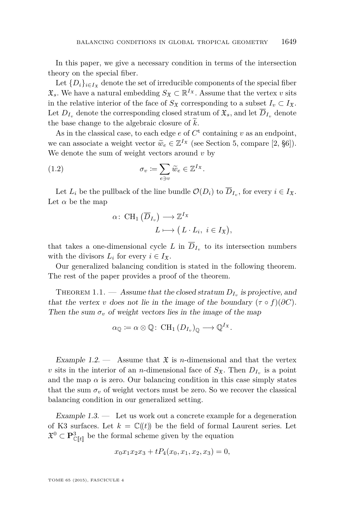<span id="page-3-0"></span>In this paper, we give a necessary condition in terms of the intersection theory on the special fiber.

Let  ${D_i}_{i \in I_X}$  denote the set of irreducible components of the special fiber  $\mathfrak{X}_s$ . We have a natural embedding  $S_{\mathfrak{X}} \subset \mathbb{R}^{I_{\mathfrak{X}}}$ . Assume that the vertex *v* sits in the relative interior of the face of  $S_x$  corresponding to a subset  $I_y \subset I_x$ . Let  $D_{I_n}$  denote the corresponding closed stratum of  $\mathfrak{X}_s$ , and let  $\overline{D}_{I_n}$  denote the base change to the algebraic closure of  $k$ .

As in the classical case, to each edge  $e$  of  $C<sup>t</sup>$  containing  $v$  as an endpoint, we can associate a weight vector  $\widetilde{w}_e \in \mathbb{Z}^{I_{\mathfrak{X}}}$  (see Section [5,](#page-11-0) compare [\[2,](#page-20-0) §6]).<br>We denote the sum of weight vectors around a by We denote the sum of weight vectors around *v* by

(1.2) 
$$
\sigma_v \coloneqq \sum_{e \ni v} \widetilde{w}_e \in \mathbb{Z}^{I_{\mathfrak{X}}}.
$$

Let  $L_i$  be the pullback of the line bundle  $\mathcal{O}(D_i)$  to  $D_{I_v}$ , for every  $i \in I_{\mathfrak{X}}$ . Let  $\alpha$  be the map

$$
\alpha\colon \operatorname{CH}_1\left(\overline{D}_{I_v}\right) \longrightarrow \mathbb{Z}^{I_{\mathfrak{X}}}\\L \longmapsto \big(L \cdot L_i, \ i \in I_{\mathfrak{X}}\big),
$$

that takes a one-dimensional cycle  $L$  in  $D_{I_v}$  to its intersection numbers with the divisors  $L_i$  for every  $i \in I_{\mathfrak{X}}$ .

Our generalized balancing condition is stated in the following theorem. The rest of the paper provides a proof of the theorem.

THEOREM 1.1. — Assume that the closed stratum  $D_{I_v}$  is projective, and that the vertex *v* does not lie in the image of the boundary  $(\tau \circ f)(\partial C)$ . Then the sum  $\sigma_v$  of weight vectors lies in the image of the map

$$
\alpha_{\mathbb{Q}} \coloneqq \alpha \otimes \mathbb{Q} \colon \operatorname{CH}_1(D_{I_v})_{\mathbb{Q}} \longrightarrow \mathbb{Q}^{I_{\mathfrak{X}}}.
$$

Example 1.2.  $\qquad$  Assume that  $\mathfrak X$  is *n*-dimensional and that the vertex *v* sits in the interior of an *n*-dimensional face of  $S_{\mathfrak{X}}$ . Then  $D_{I_v}$  is a point and the map  $\alpha$  is zero. Our balancing condition in this case simply states that the sum  $\sigma_v$  of weight vectors must be zero. So we recover the classical balancing condition in our generalized setting.

Example  $1.3.$  — Let us work out a concrete example for a degeneration of K3 surfaces. Let  $k = \mathbb{C}(\!(t)\!)$  be the field of formal Laurent series. Let  $\mathfrak{X}^0 \subset \mathbf{P}^3_{\mathbb{C}[\![t]\!]}$  be the formal scheme given by the equation

$$
x_0x_1x_2x_3 + tP_4(x_0, x_1, x_2, x_3) = 0,
$$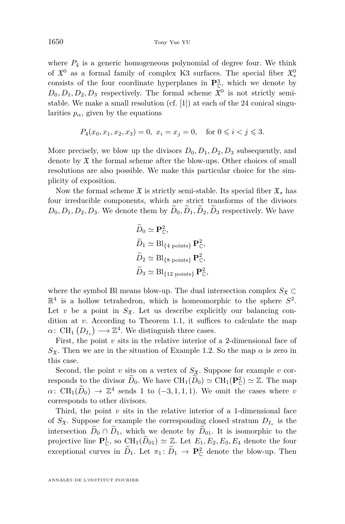where  $P_4$  is a generic homogeneous polynomial of degree four. We think of  $\mathfrak{X}^0$  as a formal family of complex K3 surfaces. The special fiber  $\mathfrak{X}^0_s$ consists of the four coordinate hyperplanes in  $\mathbf{P}_{\mathbb{C}}^3$ , which we denote by  $D_0, D_1, D_2, D_3$  respectively. The formal scheme  $\mathfrak{X}^0$  is not strictly semistable. We make a small resolution (cf. [\[1\]](#page-20-0)) at each of the 24 conical singularities  $p_{\alpha}$ , given by the equations

$$
P_4(x_0, x_1, x_2, x_3) = 0
$$
,  $x_i = x_j = 0$ , for  $0 \le i < j \le 3$ .

More precisely, we blow up the divisors  $D_0, D_1, D_2, D_3$  subsequently, and denote by  $\mathfrak X$  the formal scheme after the blow-ups. Other choices of small resolutions are also possible. We make this particular choice for the simplicity of exposition.

Now the formal scheme  $\mathfrak X$  is strictly semi-stable. Its special fiber  $\mathfrak X_s$  has four irreducible components, which are strict transforms of the divisors  $D_0, D_1, D_2, D_3$ . We denote them by  $D_0, D_1, D_2, D_3$  respectively. We have

$$
\widetilde{D}_0 \simeq \mathbf{P}_{\mathbb{C}}^2,
$$
\n
$$
\widetilde{D}_1 \simeq \mathrm{Bl}_{\{4 \text{ points}\}} \mathbf{P}_{\mathbb{C}}^2,
$$
\n
$$
\widetilde{D}_2 \simeq \mathrm{Bl}_{\{8 \text{ points}\}} \mathbf{P}_{\mathbb{C}}^2,
$$
\n
$$
\widetilde{D}_3 \simeq \mathrm{Bl}_{\{12 \text{ points}\}} \mathbf{P}_{\mathbb{C}}^2.
$$

where the symbol Bl means blow-up. The dual intersection complex  $S_x \subset$  $\mathbb{R}^4$  is a hollow tetrahedron, which is homeomorphic to the sphere  $S^2$ . Let *v* be a point in  $S_{\mathfrak{X}}$ . Let us describe explicitly our balancing condition at *v*. According to Theorem [1.1,](#page-3-0) it suffices to calculate the map  $\alpha$ : CH<sub>1</sub>  $(D_{I_v}) \longrightarrow \mathbb{Z}^4$ . We distinguish three cases.

First, the point *v* sits in the relative interior of a 2-dimensional face of  $S_{\mathfrak{X}}$ . Then we are in the situation of Example [1.2.](#page-3-0) So the map  $\alpha$  is zero in this case.

Second, the point *v* sits on a vertex of  $S_{\mathfrak{X}}$ . Suppose for example *v* corresponds to the divisor  $\widetilde{D}_0$ . We have  $\text{CH}_1(\widetilde{D}_0) \simeq \text{CH}_1(\mathbf{P}_{\mathbb{C}}^2) \simeq \mathbb{Z}$ . The map  $\alpha$ : CH<sub>1</sub>( $\widetilde{D}_0$ )  $\rightarrow \mathbb{Z}^4$  sends 1 to (-3*,* 1*,* 1*,* 1*)*. We omit the cases where *v* corresponds to other divisors.

Third, the point  $v$  sits in the relative interior of a 1-dimensional face of  $S_{\mathfrak{X}}$ . Suppose for example the corresponding closed stratum  $D_{I_v}$  is the intersection  $D_0 \cap D_1$ , which we denote by  $D_{01}$ . It is isomorphic to the projective line  $\mathbf{P}_{\mathbb{C}}^1$ , so  $\operatorname{CH}_1(\widetilde{D}_{01}) \simeq \mathbb{Z}$ . Let  $E_1, E_2, E_3, E_4$  denote the four exceptional curves in  $\tilde{D}_1$ . Let  $\pi_1: \tilde{D}_1 \to \mathbf{P}_{\mathbb{C}}^2$  denote the blow-up. Then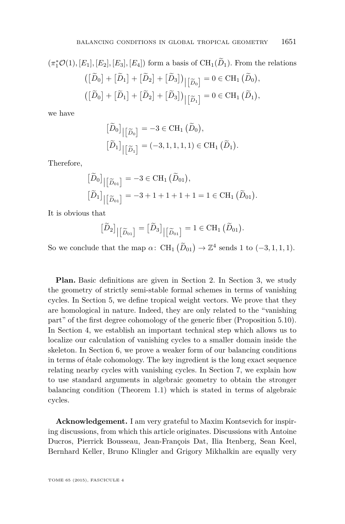$$
(\pi_1^* \mathcal{O}(1), [E_1], [E_2], [E_3], [E_4]) \text{ form a basis of } CH_1(\widetilde{D}_1). \text{ From the relations}
$$

$$
\left( [\widetilde{D}_0] + [\widetilde{D}_1] + [\widetilde{D}_2] + [\widetilde{D}_3] \right)_{\big|\big[\widetilde{D}_0\big]} = 0 \in \text{CH}_1(\widetilde{D}_0),
$$

$$
\left( [\widetilde{D}_0] + [\widetilde{D}_1] + [\widetilde{D}_2] + [\widetilde{D}_3] \right)_{\big|\big[\widetilde{D}_1\big]} = 0 \in \text{CH}_1(\widetilde{D}_1),
$$

we have

$$
\begin{aligned}\n\left[\widetilde{D}_0\right]_{\left|\left[\widetilde{D}_0\right]\right|} &= -3 \in \text{CH}_1\left(\widetilde{D}_0\right), \\
\left[\widetilde{D}_1\right]_{\left|\left[\widetilde{D}_1\right]\right|} &= (-3, 1, 1, 1, 1) \in \text{CH}_1\left(\widetilde{D}_1\right).\n\end{aligned}
$$

Therefore,

$$
\begin{aligned}\n\left[\widetilde{D}_0\right]_{\left|\left[\widetilde{D}_{01}\right]\right|} &= -3 \in \text{CH}_1\left(\widetilde{D}_{01}\right), \\
\left[\widetilde{D}_1\right]_{\left|\left[\widetilde{D}_{01}\right]\right|} &= -3 + 1 + 1 + 1 + 1 = 1 \in \text{CH}_1\left(\widetilde{D}_{01}\right).\n\end{aligned}
$$

It is obvious that

$$
\big[\widetilde{D}_2\big] \big| \big[\widetilde{D}_{01}\big] = \big[\widetilde{D}_3\big] \big| \big[\widetilde{D}_{01}\big] = 1 \in \mathrm{CH}_1\left(\widetilde{D}_{01}\right).
$$

So we conclude that the map  $\alpha$ : CH<sub>1</sub>  $(\widetilde{D}_{01}) \rightarrow \mathbb{Z}^4$  sends 1 to  $(-3, 1, 1, 1)$ .

**Plan.** Basic definitions are given in Section [2.](#page-6-0) In Section [3,](#page-7-0) we study the geometry of strictly semi-stable formal schemes in terms of vanishing cycles. In Section [5,](#page-11-0) we define tropical weight vectors. We prove that they are homological in nature. Indeed, they are only related to the "vanishing part" of the first degree cohomology of the generic fiber (Proposition [5.10\)](#page-16-0). In Section [4,](#page-9-0) we establish an important technical step which allows us to localize our calculation of vanishing cycles to a smaller domain inside the skeleton. In Section [6,](#page-17-0) we prove a weaker form of our balancing conditions in terms of étale cohomology. The key ingredient is the long exact sequence relating nearby cycles with vanishing cycles. In Section [7,](#page-19-0) we explain how to use standard arguments in algebraic geometry to obtain the stronger balancing condition (Theorem [1.1\)](#page-3-0) which is stated in terms of algebraic cycles.

**Acknowledgement.** I am very grateful to Maxim Kontsevich for inspiring discussions, from which this article originates. Discussions with Antoine Ducros, Pierrick Bousseau, Jean-François Dat, Ilia Itenberg, Sean Keel, Bernhard Keller, Bruno Klingler and Grigory Mikhalkin are equally very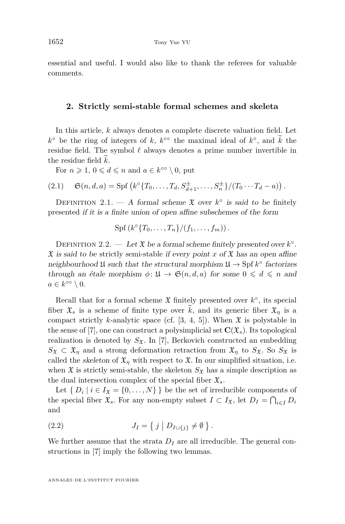<span id="page-6-0"></span>essential and useful. I would also like to thank the referees for valuable comments.

#### **2. Strictly semi-stable formal schemes and skeleta**

In this article, *k* always denotes a complete discrete valuation field. Let  $k^{\circ}$  be the ring of integers of *k*,  $k^{\circ\circ}$  the maximal ideal of  $k^{\circ}$ , and *k* the residue field. The symbol  $\ell$  always denotes a prime number invertible in the residue field  $k$ .

For  $n \geq 1, 0 \leq d \leq n$  and  $a \in k^{\infty} \setminus 0$ , put

(2.1) 
$$
\mathfrak{S}(n, d, a) = \text{Spf}\left(k^{\circ}\{T_0, \ldots, T_d, S_{d+1}^{\pm}, \ldots, S_n^{\pm}\}/(T_0 \cdots T_d - a)\right).
$$

DEFINITION 2.1. — A formal scheme  $\mathfrak X$  over  $k^{\circ}$  is said to be finitely presented if it is a finite union of open affine subschemes of the form

$$
Spf(ko{T0,...,Tn}/(f1,...,fm)).
$$

DEFINITION 2.2. — Let  $\mathfrak X$  be a formal scheme finitely presented over  $k^{\circ}$ .  $\mathfrak X$  is said to be strictly semi-stable if every point *x* of  $\mathfrak X$  has an open affine neighbourhood  $\mathfrak U$  such that the structural morphism  $\mathfrak U \to \operatorname{Spf} k^{\circ}$  factorizes through an étale morphism  $\phi: \mathfrak{U} \to \mathfrak{S}(n, d, a)$  for some  $0 \leq d \leq n$  and  $a \in k^{\circ \circ} \setminus 0$ .

Recall that for a formal scheme  $\mathfrak X$  finitely presented over  $k^{\circ}$ , its special fiber  $\mathfrak{X}_s$  is a scheme of finite type over  $\hat{k}$ , and its generic fiber  $\mathfrak{X}_\eta$  is a compact strictly *k*-analytic space (cf. [\[3,](#page-20-0) [4,](#page-20-0) [5\]](#page-20-0)). When  $\mathfrak{X}$  is polystable in the sense of  $[7]$ , one can construct a polysimplicial set  $\mathbf{C}(\mathfrak{X}_s)$ . Its topological realization is denoted by  $S_{\mathfrak{X}}$ . In [\[7\]](#page-20-0), Berkovich constructed an embedding  $S_{\mathfrak{X}} \subset \mathfrak{X}_{\eta}$  and a strong deformation retraction from  $\mathfrak{X}_{\eta}$  to  $S_{\mathfrak{X}}$ . So  $S_{\mathfrak{X}}$  is called the skeleton of  $\mathfrak{X}_\eta$  with respect to  $\mathfrak{X}$ . In our simplified situation, i.e. when  $\mathfrak X$  is strictly semi-stable, the skeleton  $S_{\mathfrak X}$  has a simple description as the dual intersection complex of the special fiber  $\mathfrak{X}_s$ .

Let  $\{ D_i \mid i \in I_{\mathfrak{X}} = \{0, \ldots, N\} \}$  be the set of irreducible components of the special fiber  $\mathfrak{X}_s$ . For any non-empty subset  $I \subset I_{\mathfrak{X}}$ , let  $D_I = \bigcap_{i \in I} D_i$ and

(2.2) 
$$
J_I = \{ j \mid D_{I \cup \{j\}} \neq \emptyset \}.
$$

We further assume that the strata  $D_I$  are all irreducible. The general constructions in [\[7\]](#page-20-0) imply the following two lemmas.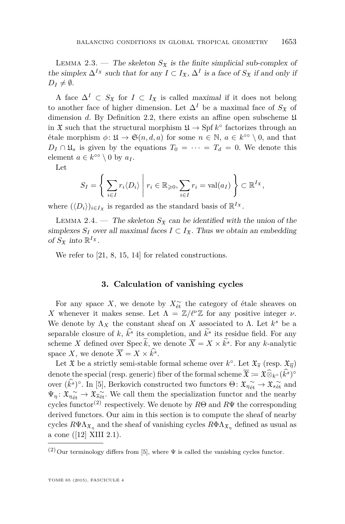<span id="page-7-0"></span>LEMMA 2.3. — The skeleton  $S_{\mathfrak{X}}$  is the finite simplicial sub-complex of the simplex  $\Delta^{I_{\mathfrak{X}}}$  such that for any  $I \subset I_{\mathfrak{X}}$ ,  $\Delta^{I}$  is a face of  $S_{\mathfrak{X}}$  if and only if  $D_I \neq \emptyset$ .

A face  $\Delta^I \subset S_{\mathfrak{X}}$  for  $I \subset I_{\mathfrak{X}}$  is called maximal if it does not belong to another face of higher dimension. Let  $\Delta^I$  be a maximal face of  $S_{\mathfrak{X}}$  of dimension *d*. By Definition [2.2,](#page-6-0) there exists an affine open subscheme  $\mathfrak U$ in  $\mathfrak X$  such that the structural morphism  $\mathfrak U \to \operatorname{Spf} k^{\circ}$  factorizes through an *étale morphism*  $φ: Ω → Θ(n, d, a)$  for some  $n ∈ ℕ$ ,  $a ∈ k<sup>∞</sup> \setminus 0$ , and that  $D_I \cap \mathfrak{U}_s$  is given by the equations  $T_0 = \cdots = T_d = 0$ . We denote this element  $a \in k^{\infty} \setminus 0$  by  $a_I$ .

Let

$$
S_I = \left\{ \left. \sum_{i \in I} r_i \langle D_i \rangle \; \right| \; r_i \in \mathbb{R}_{\geqslant 0}, \sum_{i \in I} r_i = \text{val}(a_I) \right\} \subset \mathbb{R}^{I_{\mathfrak{X}}},
$$

where  $(\langle D_i \rangle)_{i \in I_{\mathfrak{X}}}$  is regarded as the standard basis of  $\mathbb{R}^{I_{\mathfrak{X}}}$ .

LEMMA 2.4. — The skeleton  $S_x$  can be identified with the union of the simplexes  $S_I$  over all maximal faces  $I \subset I_{\mathfrak{X}}$ . Thus we obtain an embedding of  $S_{\mathfrak{X}}$  into  $\mathbb{R}^{I_{\mathfrak{X}}}.$ 

We refer to [\[21,](#page-20-0) [8,](#page-20-0) [15,](#page-20-0) [14\]](#page-20-0) for related constructions.

#### **3. Calculation of vanishing cycles**

For any space *X*, we denote by  $X_{\text{\'et}}^{\sim}$  the category of étale sheaves on *X* whenever it makes sense. Let  $\Lambda = \mathbb{Z}/\ell^{\nu}\mathbb{Z}$  for any positive integer *ν*. We denote by  $\Lambda_X$  the constant sheaf on *X* associated to *Λ*. Let  $k^s$  be a separable closure of *k*,  $k^s$  its completion, and  $k^s$  its residue field. For any scheme *X* defined over Spec *k*, we denote  $\overline{X} = X \times k^s$ . For any *k*-analytic space *X*, we denote  $\overline{X} = X \times k^s$ .

Let  $\mathfrak X$  be a strictly semi-stable formal scheme over  $k^{\circ}$ . Let  $\mathfrak X_{\overline s}$  (resp.  $\mathfrak X_{\overline\eta}$ ) denote the special (resp. generic) fiber of the formal scheme  $\overline{\mathfrak{X}} := \mathfrak{X} \widehat{\otimes}_{k^{\circ}} (\hat{k}^s)^{\circ}$ over  $(k^s)$ <sup>°</sup>. In [\[5\]](#page-20-0), Berkovich constructed two functors  $\Theta \colon \mathfrak{X}_{\eta_{\text{\'et}}} \to \mathfrak{X}_{s_{\text{\'et}}}$  and  $\Psi_{\eta} \colon \mathfrak{X}_{\eta_{\text{\'et}}} \to \mathfrak{X}_{\eta_{\text{\'et}}}$ . We call them the specialization functor and the nearby cycles functor(2) respectively. We denote by *R*Θ and *R*Ψ the corresponding derived functors. Our aim in this section is to compute the sheaf of nearby cycles  $R\Psi \Lambda_{\mathfrak{X}_\eta}$  and the sheaf of vanishing cycles  $R\Phi \Lambda_{\mathfrak{X}_\eta}$  defined as usual as a cone ([\[12\]](#page-20-0) XIII 2.1).

 $^{(2)}$  Our terminology differs from [\[5\]](#page-20-0), where  $\Psi$  is called the vanishing cycles functor.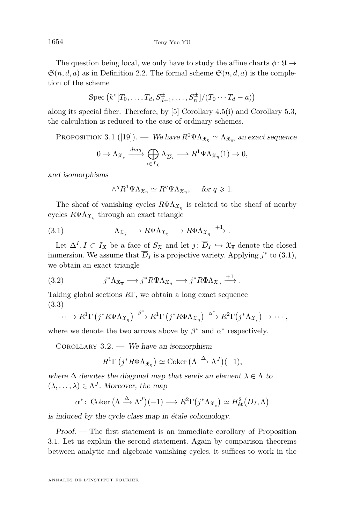<span id="page-8-0"></span>The question being local, we only have to study the affine charts  $\phi \colon \mathfrak{U} \to$  $\mathfrak{S}(n, d, a)$  as in Definition [2.2.](#page-6-0) The formal scheme  $\mathfrak{S}(n, d, a)$  is the completion of the scheme

$$
\operatorname{Spec} \left( k^{\circ}[T_0,\ldots,T_d,S_{d+1}^{\pm},\ldots,S_n^{\pm}]/(T_0\cdots T_d-a) \right)
$$

along its special fiber. Therefore, by [\[5\]](#page-20-0) Corollary 4.5(i) and Corollary 5.3, the calculation is reduced to the case of ordinary schemes.

PROPOSITION 3.1 ([\[19\]](#page-20-0)). — We have  $R^0\Psi\Lambda_{\mathfrak{X}_\eta} \simeq \Lambda_{\mathfrak{X}_{\overline{s}}}$ , an exact sequence

$$
0 \to \Lambda_{\mathfrak{X}_{\overline{s}}} \xrightarrow{diag} \bigoplus_{i \in I_{\mathfrak{X}}} \Lambda_{\overline{D}_i} \longrightarrow R^1 \Psi \Lambda_{\mathfrak{X}_{\eta}}(1) \to 0,
$$

and isomorphisms

$$
\wedge^q R^1 \Psi \Lambda_{\mathfrak{X}_\eta} \simeq R^q \Psi \Lambda_{\mathfrak{X}_\eta}, \quad \text{ for } q \geqslant 1.
$$

The sheaf of vanishing cycles  $R\Phi\Lambda_{\mathfrak{X}_\eta}$  is related to the sheaf of nearby cycles  $R\Psi \Lambda_{\mathfrak{X}_\eta}$  through an exact triangle

(3.1) 
$$
\Lambda_{\mathfrak{X}_{\overline{s}}} \longrightarrow R\Psi \Lambda_{\mathfrak{X}_{\eta}} \longrightarrow R\Phi \Lambda_{\mathfrak{X}_{\eta}} \stackrel{+1}{\longrightarrow}.
$$

Let  $\Delta^I, I \subset I_{\mathfrak{X}}$  be a face of  $S_{\mathfrak{X}}$  and let  $j: \overline{D}_I \hookrightarrow \mathfrak{X}_{\overline{s}}$  denote the closed immersion. We assume that  $\overline{D}_I$  is a projective variety. Applying  $j^*$  to (3.1), we obtain an exact triangle

(3.2) 
$$
j^*\Lambda_{\mathfrak{X}_{\overline{s}}} \longrightarrow j^*R\Psi\Lambda_{\mathfrak{X}_{\eta}} \longrightarrow j^*R\Phi\Lambda_{\mathfrak{X}_{\eta}} \stackrel{+1}{\longrightarrow}.
$$

Taking global sections *R*Γ, we obtain a long exact sequence (3.3)

$$
\cdots \to R^1 \Gamma(j^* R \Psi \Lambda_{\mathfrak{X}_{\eta}}) \xrightarrow{\beta^*} R^1 \Gamma(j^* R \Phi \Lambda_{\mathfrak{X}_{\eta}}) \xrightarrow{\alpha^*} R^2 \Gamma(j^* \Lambda_{\mathfrak{X}_{\overline{s}}}) \to \cdots,
$$

where we denote the two arrows above by  $\beta^*$  and  $\alpha^*$  respectively.

COROLLARY  $3.2.$  — We have an isomorphism

$$
R^{1}\Gamma\left(j^{*}R\Phi\Lambda_{\mathfrak{X}_{\eta}}\right) \simeq \text{Coker}\left(\Lambda \xrightarrow{\Delta} \Lambda^{J}\right)(-1),
$$

where  $\Delta$  denotes the diagonal map that sends an element  $\lambda \in \Lambda$  to  $(\lambda, \ldots, \lambda) \in \Lambda^J$ . Moreover, the map

$$
\alpha^* \colon \operatorname{Coker} \left( \Lambda \xrightarrow{\Delta} \Lambda^J \right) (-1) \longrightarrow R^2 \Gamma \left( j^* \Lambda_{\mathfrak{X}_{\overline{s}}} \right) \simeq H^2_{\text{\'et}}(\overline{D}_I, \Lambda)
$$

is induced by the cycle class map in étale cohomology.

Proof. — The first statement is an immediate corollary of Proposition 3.1. Let us explain the second statement. Again by comparison theorems between analytic and algebraic vanishing cycles, it suffices to work in the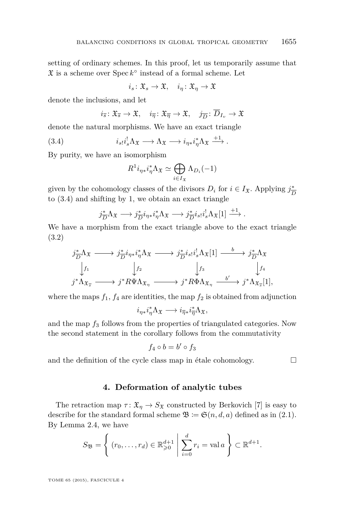<span id="page-9-0"></span>setting of ordinary schemes. In this proof, let us temporarily assume that  $\mathfrak X$  is a scheme over  $\operatorname{Spec} k^{\circ}$  instead of a formal scheme. Let

$$
i_s \colon \mathfrak{X}_s \to \mathfrak{X}, \quad i_\eta \colon \mathfrak{X}_\eta \to \mathfrak{X}
$$

denote the inclusions, and let

$$
i_{\overline{s}}
$$
:  $\mathfrak{X}_{\overline{s}} \to \mathfrak{X}$ ,  $i_{\overline{\eta}}$ :  $\mathfrak{X}_{\overline{\eta}} \to \mathfrak{X}$ ,  $j_{\overline{D}}$ :  $\overline{D}_{I_v} \to \mathfrak{X}$ 

denote the natural morphisms. We have an exact triangle

(3.4) 
$$
i_{s}i_{s}^{\dagger}\Lambda_{\mathfrak{X}} \longrightarrow \Lambda_{\mathfrak{X}} \longrightarrow i_{\eta*}i_{\eta}^{*}\Lambda_{\mathfrak{X}} \stackrel{+1}{\longrightarrow}.
$$

By purity, we have an isomorphism

$$
R^1 i_{\eta *} i_{\eta}^* \Lambda_{\mathfrak{X}} \simeq \bigoplus_{i \in I_{\mathfrak{X}}} \Lambda_{D_i}(-1)
$$

given by the cohomology classes of the divisors  $D_i$  for  $i \in I_{\mathfrak{X}}$ . Applying  $j_{\overline{I}}^*$ *D* to (3.4) and shifting by 1, we obtain an exact triangle

$$
j_{\overline{D}}^*\Lambda_{\mathfrak{X}} \longrightarrow j_{\overline{D}}^*i_{\eta *}i_{\eta}^*\Lambda_{\mathfrak{X}} \longrightarrow j_{\overline{D}}^*i_{s!}i_{s}^!\Lambda_{\mathfrak{X}}[1] \stackrel{+1}{\longrightarrow}.
$$

We have a morphism from the exact triangle above to the exact triangle [\(3.2\)](#page-8-0)

$$
\begin{array}{ccc}\nj_{\overline{D}}^{*}\Lambda_{\mathfrak{X}}\longrightarrow j_{\overline{D}}^{*}i_{\eta*}i_{\eta}^{*}\Lambda_{\mathfrak{X}}\longrightarrow j_{\overline{D}}^{*}i_{s}i_{s}^{!}\Lambda_{\mathfrak{X}}[1]\longrightarrow j_{\overline{D}}^{*}\Lambda_{\mathfrak{X}}\\
\downarrow f_{1} & \downarrow f_{2} & \downarrow f_{3} & \downarrow f_{4}\\
j^{*}\Lambda_{\mathfrak{X}_{\overline{s}}}\longrightarrow j^{*}R\Psi\Lambda_{\mathfrak{X}_{\eta}}\longrightarrow j^{*}R\Phi\Lambda_{\mathfrak{X}_{\eta}}\longrightarrow j^{*}\Lambda_{\mathfrak{X}_{\overline{s}}}[1],\n\end{array}
$$

where the maps  $f_1$ ,  $f_4$  are identities, the map  $f_2$  is obtained from adjunction

$$
i_{\eta*}i_{\eta}^*\Lambda_{\mathfrak{X}}\longrightarrow i_{\overline{\eta}*}i_{\overline{\eta}}^*\Lambda_{\mathfrak{X}},
$$

and the map *f*<sup>3</sup> follows from the properties of triangulated categories. Now the second statement in the corollary follows from the commutativity

$$
f_4\circ b=b'\circ f_3
$$

and the definition of the cycle class map in étale cohomology.  $\Box$ 

**4. Deformation of analytic tubes**

The retraction map  $\tau: \mathfrak{X}_\eta \to S_{\mathfrak{X}}$  constructed by Berkovich [\[7\]](#page-20-0) is easy to describe for the standard formal scheme  $\mathfrak{B} \coloneqq \mathfrak{S}(n, d, a)$  defined as in [\(2.1\)](#page-6-0). By Lemma [2.4,](#page-7-0) we have

$$
S_{\mathfrak{B}} = \left\{ (r_0, \ldots, r_d) \in \mathbb{R}_{\geqslant 0}^{d+1} \middle| \sum_{i=0}^d r_i = \text{val } a \right\} \subset \mathbb{R}^{d+1}.
$$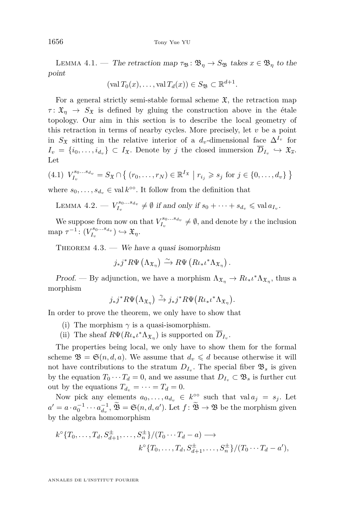<span id="page-10-0"></span>LEMMA 4.1. — The retraction map  $\tau_{\mathfrak{B}} : \mathfrak{B}_\eta \to S_{\mathfrak{B}}$  takes  $x \in \mathfrak{B}_\eta$  to the point

$$
(\text{val } T_0(x), \ldots, \text{val } T_d(x)) \in S_{\mathfrak{B}} \subset \mathbb{R}^{d+1}
$$

*.*

For a general strictly semi-stable formal scheme  $\mathfrak{X}$ , the retraction map  $\tau: \mathfrak{X}_n \to S_{\mathfrak{X}}$  is defined by gluing the construction above in the étale topology. Our aim in this section is to describe the local geometry of this retraction in terms of nearby cycles. More precisely, let  $v$  be a point in  $S_x$  sitting in the relative interior of a  $d_v$ -dimensional face  $\Delta^{I_v}$  for  $I_v = \{i_0, \ldots, i_{d_v}\} \subset I_{\mathfrak{X}}$ . Denote by *j* the closed immersion  $D_{I_v} \hookrightarrow \mathfrak{X}_{\overline{s}}$ . Let

$$
(4.1) V_{I_v}^{s_0...s_{d_v}} = S_{\mathfrak{X}} \cap \{ (r_0,...,r_N) \in \mathbb{R}^{I_{\mathfrak{X}}} \mid r_{i_j} \geqslant s_j \text{ for } j \in \{0,...,d_v\} \}
$$

where  $s_0, \ldots, s_{d_v} \in \text{val } k^{\infty}$ . It follow from the definition that

LEMMA 4.2. 
$$
V_{I_v}^{s_0...s_{d_v}} \neq \emptyset
$$
 if and only if  $s_0 + \cdots + s_{d_v} \leq \text{val } a_{I_v}$ .

We suppose from now on that  $V_{I_v}^{s_0...s_{d_v}} \neq \emptyset$ , and denote by *ι* the inclusion  $\text{map } \tau^{-1} \colon (V_{I_v}^{s_0...s_{d_v}}) \hookrightarrow \mathfrak{X}_{\eta}.$ 

THEOREM  $4.3.$  — We have a quasi isomorphism

$$
j_*j^*R\Psi\left(\Lambda_{\mathfrak{X}_{\eta}}\right)\xrightarrow{\sim} R\Psi\left(R\iota_*\iota^*\Lambda_{\mathfrak{X}_{\eta}}\right).
$$

Proof. — By adjunction, we have a morphism  $\Lambda_{\mathfrak{X}_{\eta}} \to R_{\ell \ast} \ell^* \Lambda_{\mathfrak{X}_{\eta}}$ , thus a morphism

$$
j_*j^*R\Psi(\Lambda_{\mathfrak{X}_{\eta}})\xrightarrow{\gamma} j_*j^*R\Psi\big(R\iota_*\iota^*\Lambda_{\mathfrak{X}_{\eta}}\big).
$$

In order to prove the theorem, we only have to show that

- (i) The morphism  $\gamma$  is a quasi-isomorphism.
- (ii) The sheaf  $R\Psi(R\iota_*\iota^*\Lambda_{\mathfrak{X}_\eta})$  is supported on  $\overline{D}_{I_v}$ .

The properties being local, we only have to show them for the formal scheme  $\mathfrak{B} = \mathfrak{S}(n, d, a)$ . We assume that  $d_v \leq d$  because otherwise it will not have contributions to the stratum  $D_{I_v}$ . The special fiber  $\mathfrak{B}_s$  is given by the equation  $T_0 \cdots T_d = 0$ , and we assume that  $D_{I_v} \subset \mathfrak{B}_s$  is further cut out by the equations  $T_{d_v} = \cdots = T_d = 0$ .

Now pick any elements  $a_0, \ldots, a_{d_v} \in k^{\infty}$  such that val  $a_j = s_j$ . Let  $a' = a \cdot a_0^{-1} \cdots a_{d_v}^{-1}, \, \widetilde{\mathfrak{B}} = \mathfrak{S}(n, d, a').$  Let  $f : \widetilde{\mathfrak{B}} \to \mathfrak{B}$  be the morphism given by the algebra homomorphism

$$
k^{\circ} \{T_0, \ldots, T_d, S_{d+1}^{\pm}, \ldots, S_n^{\pm} \} / (T_0 \cdots T_d - a) \longrightarrow
$$
  
 $k^{\circ} \{T_0, \ldots, T_d, S_{d+1}^{\pm}, \ldots, S_n^{\pm} \} / (T_0 \cdots T_d - a'),$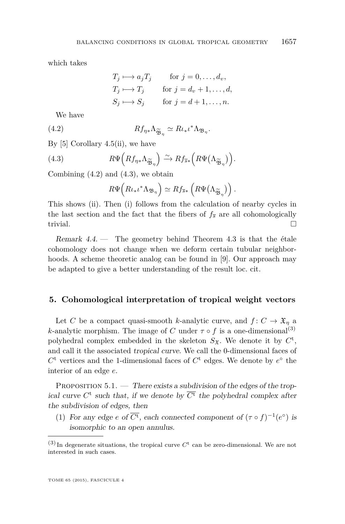<span id="page-11-0"></span>which takes

$$
T_j \longmapsto a_j T_j \quad \text{for } j = 0, \dots, d_v,
$$
  
\n
$$
T_j \longmapsto T_j \quad \text{for } j = d_v + 1, \dots, d,
$$
  
\n
$$
S_j \longmapsto S_j \quad \text{for } j = d + 1, \dots, n.
$$

We have

(4.2) 
$$
Rf_{\eta*}\Lambda_{\widetilde{\mathfrak{B}}_{\eta}} \simeq R\iota_*\iota^*\Lambda_{\mathfrak{B}_{\eta}}.
$$

By [\[5\]](#page-20-0) Corollary 4.5(ii), we have

(4.3) 
$$
R\Psi\left(Rf_{\eta*}\Lambda_{\widetilde{\mathfrak{B}}_{\eta}}\right) \xrightarrow{\sim} Rf_{\overline{s}*}\left(R\Psi\left(\Lambda_{\widetilde{\mathfrak{B}}_{\eta}}\right)\right).
$$

Combining  $(4.2)$  and  $(4.3)$ , we obtain

$$
R\Psi\left(R\iota_*\iota^*\Lambda_{\mathfrak{B}_{\eta}}\right) \simeq Rf_{\overline{s}*}\left(R\Psi\big(\Lambda_{\widetilde{\mathfrak{B}}_{\eta}}\big)\right).
$$

This shows [\(ii\)](#page-10-0). Then [\(i\)](#page-10-0) follows from the calculation of nearby cycles in the last section and the fact that the fibers of  $f_{\overline{s}}$  are all cohomologically trivial.  $\Box$ 

Remark  $4.4.$  — The geometry behind Theorem  $4.3$  is that the étale cohomology does not change when we deform certain tubular neighborhoods. A scheme theoretic analog can be found in [\[9\]](#page-20-0). Our approach may be adapted to give a better understanding of the result loc. cit.

#### **5. Cohomological interpretation of tropical weight vectors**

Let *C* be a compact quasi-smooth *k*-analytic curve, and  $f: C \to \mathfrak{X}_n$  a *k*-analytic morphism. The image of *C* under  $\tau \circ f$  is a one-dimensional<sup>(3)</sup> polyhedral complex embedded in the skeleton  $S_{\mathfrak{X}}$ . We denote it by  $C^{\mathfrak{t}}$ , and call it the associated tropical curve. We call the 0-dimensional faces of  $C^t$  vertices and the 1-dimensional faces of  $C^t$  edges. We denote by  $e^{\circ}$  the interior of an edge *e*.

PROPOSITION  $5.1.$  — There exists a subdivision of the edges of the tropical curve  $C^t$  such that, if we denote by  $\overline{C^t}$  the polyhedral complex after the subdivision of edges, then

(1) For any edge  $e$  of  $\overline{C^t}$ , each connected component of  $(\tau \circ f)^{-1}(e^{\circ})$  is isomorphic to an open annulus.

 $(3)$  In degenerate situations, the tropical curve  $C<sup>t</sup>$  can be zero-dimensional. We are not interested in such cases.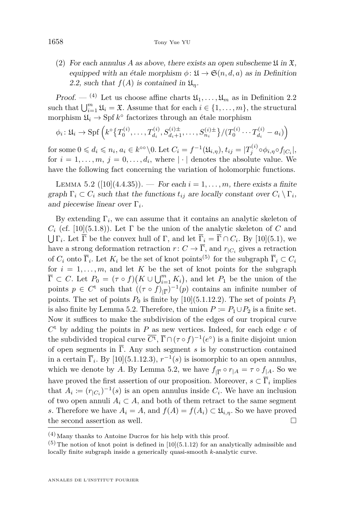(2) For each annulus A as above, there exists an open subscheme  $\mathfrak{U}$  in  $\mathfrak{X}$ , equipped with an étale morphism  $\phi: \mathfrak{U} \to \mathfrak{S}(n,d,a)$  as in Definition [2.2,](#page-6-0) such that  $f(A)$  is contained in  $\mathfrak{U}_n$ .

*Proof.* — <sup>(4)</sup> Let us choose affine charts  $\mathfrak{U}_1, \ldots, \mathfrak{U}_m$  as in Definition [2.2](#page-6-0) such that  $\bigcup_{i=1}^{m} \mathfrak{U}_i = \mathfrak{X}$ . Assume that for each  $i \in \{1, ..., m\}$ , the structural morphism  $\mathfrak{U}_i \to \mathrm{Spf} \, k^\circ$  factorizes through an étale morphism

$$
\phi_i: \mathfrak{U}_i \to \mathrm{Spf}\left(k^{\circ}\left\{T_0^{(i)}, \ldots, T_{d_i}^{(i)}, S_{d_i+1}^{(i)+}, \ldots, S_{n_i}^{(i)\pm}\right\}/\left(T_0^{(i)} \cdots T_{d_i}^{(i)} - a_i\right)\right)
$$

for some  $0 \leq d_i \leq n_i$ ,  $a_i \in k^{\infty} \backslash 0$ . Let  $C_i = f^{-1}(\mathfrak{U}_{i,\eta}),$   $t_{ij} = |T_j^{(i)} \circ \phi_{i,\eta} \circ f_{|C_i}|$ , for  $i = 1, \ldots, m, j = 0, \ldots, d_i$ , where  $|\cdot|$  denotes the absolute value. We have the following fact concerning the variation of holomorphic functions.

LEMMA 5.2 ([\[10\]](#page-20-0)(4.4.35)). — For each  $i = 1, ..., m$ , there exists a finite graph  $\Gamma_i \subset C_i$  such that the functions  $t_{ij}$  are locally constant over  $C_i \setminus \Gamma_i$ , and piecewise linear over Γ*<sup>i</sup>* .

By extending  $\Gamma_i$ , we can assume that it contains an analytic skeleton of  $C_i$  (cf. [\[10\]](#page-20-0)(5.1.8)). Let  $\Gamma$  be the union of the analytic skeleton of  $C$  and  $\bigcup \Gamma_i$ . Let  $\Gamma$  be the convex hull of  $\Gamma$ , and let  $\Gamma_i = \Gamma \cap C_i$ . By [\[10\]](#page-20-0)(5.1), we have a strong deformation retraction  $r: C \to \Gamma$ , and  $r_{|C_i}$  gives a retraction of  $C_i$  onto  $\overline{\Gamma}_i$ . Let  $K_i$  be the set of knot points<sup>(5)</sup> for the subgraph  $\overline{\Gamma}_i \subset C_i$ for  $i = 1, \ldots, m$ , and let K be the set of knot points for the subgraph  $\overline{\Gamma} \subset C$ . Let  $P_0 = (\tau \circ f)(K \cup \bigcup_{i=1}^m K_i)$ , and let  $P_1$  be the union of the points  $p \in C^{\mathfrak{t}}$  such that  $((\tau \circ f)_{|\overline{\Gamma}})^{-1}(p)$  contains an infinite number of points. The set of points  $P_0$  is finite by [\[10\]](#page-20-0)(5.1.12.2). The set of points  $P_1$ is also finite by Lemma 5.2. Therefore, the union  $P := P_1 \cup P_2$  is a finite set. Now it suffices to make the subdivision of the edges of our tropical curve *C* <sup>t</sup> by adding the points in *P* as new vertices. Indeed, for each edge *e* of the subdivided tropical curve  $\overline{C^t}$ ,  $\overline{\Gamma} \cap (\tau \circ f)^{-1}(e^{\circ})$  is a finite disjoint union of open segments in  $\overline{\Gamma}$ . Any such segment *s* is by construction contained in a certain  $\overline{\Gamma}_i$ . By [\[10\]](#page-20-0)(5.1.12.3),  $r^{-1}(s)$  is isomorphic to an open annulus, which we denote by *A*. By Lemma 5.2, we have  $f_{|\overline{\Gamma}} \circ r_{|A} = \tau \circ f_{|A}$ . So we have proved the first assertion of our proposition. Moreover,  $s \subset \Gamma_i$  implies that  $A_i := (r_{|C_i})^{-1}(s)$  is an open annulus inside  $C_i$ . We have an inclusion of two open annuli  $A_i \subset A$ , and both of them retract to the same segment *s*. Therefore we have  $A_i = A$ , and  $f(A) = f(A_i) \subset \mathfrak{U}_{i,n}$ . So we have proved the second assertion as well.

 $(4)$  Many thanks to Antoine Ducros for his help with this proof.

 $(5)$  The notion of knot point is defined in [\[10\]](#page-20-0)(5.1.12) for an analytically admissible and locally finite subgraph inside a generically quasi-smooth *k*-analytic curve.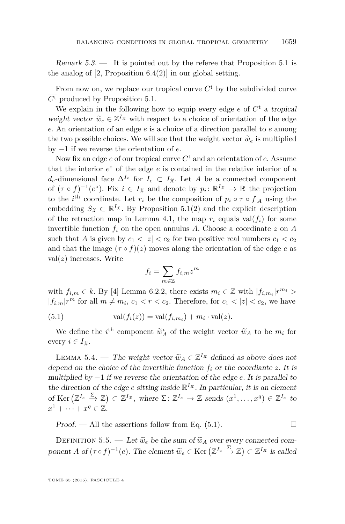<span id="page-13-0"></span>Remark  $5.3.$  — It is pointed out by the referee that Proposition  $5.1$  is the analog of  $[2,$  Proposition  $6.4(2)$  in our global setting.

From now on, we replace our tropical curve  $C<sup>t</sup>$  by the subdivided curve  $\overline{C^t}$  produced by Proposition [5.1.](#page-11-0)

We explain in the following how to equip every edge  $e$  of  $C<sup>t</sup>$  a tropical weight vector  $\widetilde{w}_e \in \mathbb{Z}^I$ <sup>x</sup> with respect to a choice of orientation of the edge *e*. An orientation of an edge *e* is a choice of a direction parallel to *e* among the two possible choices. We will see that the weight vector  $\widetilde{w}_e$  is multiplied by −1 if we reverse the orientation of *e*.

Now fix an edge *e* of our tropical curve *C* <sup>t</sup> and an orientation of *e*. Assume that the interior  $e^{\circ}$  of the edge  $e$  is contained in the relative interior of a *d*<sub>*e*</sub>-dimensional face  $\Delta^{I_e}$  for *I*<sub>*e*</sub> ⊂ *I*<sub>X</sub>. Let *A* be a connected component of  $(\tau \circ f)^{-1}(e^{\circ})$ . Fix  $i \in I_{\mathfrak{X}}$  and denote by  $p_i: \mathbb{R}^{I_{\mathfrak{X}}} \to \mathbb{R}$  the projection to the *i*<sup>th</sup> coordinate. Let  $r_i$  be the composition of  $p_i \circ \tau \circ f_{|A}$  using the embedding  $S_{\mathfrak{X}} \subset \mathbb{R}^{I_{\mathfrak{X}}}$ . By Proposition [5.1\(](#page-11-0)2) and the explicit description of the retraction map in Lemma [4.1,](#page-10-0) the map  $r_i$  equals val $(f_i)$  for some invertible function  $f_i$  on the open annulus A. Choose a coordinate  $z$  on  $A$ such that *A* is given by  $c_1 < |z| < c_2$  for two positive real numbers  $c_1 < c_2$ and that the image  $(\tau \circ f)(z)$  moves along the orientation of the edge *e* as val(*z*) increases. Write

$$
f_i = \sum_{m \in \mathbb{Z}} f_{i,m} z^m
$$

with  $f_{i,m} \in k$ . By [\[4\]](#page-20-0) Lemma 6.2.2, there exists  $m_i \in \mathbb{Z}$  with  $|f_{i,m_i}|r^{m_i} >$  $|f_{i,m}|r^m$  for all  $m \neq m_i$ ,  $c_1 < r < c_2$ . Therefore, for  $c_1 < |z| < c_2$ , we have

(5.1) 
$$
\operatorname{val}(f_i(z)) = \operatorname{val}(f_{i,m_i}) + m_i \cdot \operatorname{val}(z).
$$

We define the *i*<sup>th</sup> component  $\widetilde{w}_A^i$  of the weight vector  $\widetilde{w}_A$  to be  $m_i$  for every  $i \in I_{\mathfrak{X}}$ .

LEMMA 5.4. — The weight vector  $\widetilde{w}_A \in \mathbb{Z}^I$ <sup>x</sup> defined as above does not depend on the choice of the invertible function  $f_i$  or the coordiante  $z$ . It is multiplied by −1 if we reverse the orientation of the edge *e*. It is parallel to the direction of the edge *e* sitting inside  $\mathbb{R}^{I_{\mathfrak{X}}}$ . In particular, it is an element of Ker  $(\mathbb{Z}^{I_e} \stackrel{\Sigma}{\to} \mathbb{Z}) \subset \mathbb{Z}^{I_x}$ , where  $\Sigma \colon \mathbb{Z}^{I_e} \to \mathbb{Z}$  sends  $(x^1, \ldots, x^q) \in \mathbb{Z}^{I_e}$  to  $x^1 + \cdots + x^q \in \mathbb{Z}$ .

Proof. — All the assertions follow from Eq.  $(5.1)$ .

DEFINITION 5.5. — Let  $\tilde{w}_e$  be the sum of  $\tilde{w}_A$  over every connected component *A* of  $(\tau \circ f)^{-1}(e)$ . The element  $\widetilde{w}_e \in \text{Ker} \left( \mathbb{Z}^{I_e} \xrightarrow{\Sigma} \mathbb{Z} \right) \subset \mathbb{Z}^{I_x}$  is called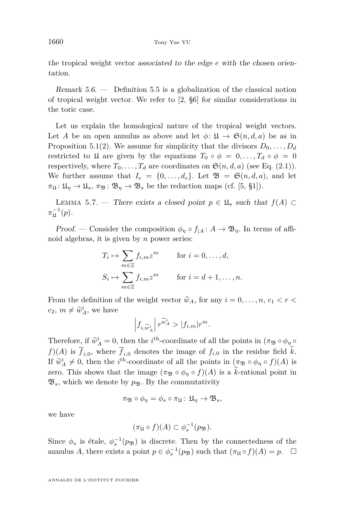<span id="page-14-0"></span>the tropical weight vector associated to the edge *e* with the chosen orientation.

Remark  $5.6.$  — Definition [5.5](#page-13-0) is a globalization of the classical notion of tropical weight vector. We refer to [\[2,](#page-20-0) §6] for similar considerations in the toric case.

Let us explain the homological nature of the tropical weight vectors. Let *A* be an open annulus as above and let  $\phi: \mathfrak{U} \to \mathfrak{S}(n,d,a)$  be as in Proposition [5.1\(](#page-11-0)2). We assume for simplicity that the divisors  $D_0, \ldots, D_d$ restricted to  $\mathfrak{U}$  are given by the equations  $T_0 \circ \phi = 0, \ldots, T_d \circ \phi = 0$ respectively, where  $T_0, \ldots, T_d$  are coordinates on  $\mathfrak{S}(n, d, a)$  (see Eq. [\(2.1\)](#page-6-0)). We further assume that  $I_e = \{0, \ldots, d_e\}$ . Let  $\mathfrak{B} = \mathfrak{S}(n, d, a)$ , and let  $\pi_{\mathfrak{U}}: \mathfrak{U}_n \to \mathfrak{U}_s, \pi_{\mathfrak{B}}: \mathfrak{B}_n \to \mathfrak{B}_s$  be the reduction maps (cf. [\[5,](#page-20-0) §1]).

LEMMA 5.7. — There exists a closed point  $p \in \mathfrak{U}_s$  such that  $f(A)$  ⊂  $\pi_{\mathfrak{U}}^{-1}(p).$ 

Proof. — Consider the composition  $\phi_{\eta} \circ f_{|A}: A \to \mathfrak{B}_{\eta}$ . In terms of affinoid algebras, it is given by *n* power series:

$$
T_i \mapsto \sum_{m \in \mathbb{Z}} f_{i,m} z^m \quad \text{for } i = 0, ..., d,
$$
  

$$
S_i \mapsto \sum_{m \in \mathbb{Z}} f_{i,m} z^m \quad \text{for } i = d+1, ..., n.
$$

From the definition of the weight vector  $\widetilde{w}_A$ , for any  $i = 0, \ldots, n, c_1 < r <$  $c_2, m \neq \tilde{w}_A^i$ , we have

$$
\left|f_{i,\widetilde{w}^i_A}\right| r^{\widetilde{w}^i_A} > |f_{i,m}| r^m.
$$

Therefore, if  $\widetilde{w}_A^i = 0$ , then the *i*<sup>th</sup>-coordinate of all the points in  $(\pi_{\mathfrak{B}} \circ \phi_{\eta} \circ \phi_{\eta})$  $f(x)$  is  $f_{i,0}$ , where  $f_{i,0}$  denotes the image of  $f_{i,0}$  in the residue field k. If  $\widetilde{w}_A^i \neq 0$ , then the *i*<sup>th</sup>-coordinate of all the points in (*π*<sub>B</sub> ◦ *φ*<sub>*η*</sub> ◦ *f*)(*A*) is zero. This shows that the image  $(\pi_{\mathfrak{B}} \circ \phi_{\eta} \circ f)(A)$  is a k-rational point in  $\mathfrak{B}_s$ , which we denote by  $p_{\mathfrak{B}}$ . By the commutativity

$$
\pi_{\mathfrak{B}} \circ \phi_{\eta} = \phi_s \circ \pi_{\mathfrak{U}} \colon \mathfrak{U}_{\eta} \to \mathfrak{B}_s,
$$

we have

$$
(\pi_{\mathfrak{U}} \circ f)(A) \subset \phi_s^{-1}(p_{\mathfrak{B}}).
$$

Since  $\phi_s$  is étale,  $\phi_s^{-1}(p_{\mathfrak{B}})$  is discrete. Then by the connectedness of the annulus *A*, there exists a point  $p \in \phi_s^{-1}(p_{\mathfrak{B}})$  such that  $(\pi_{\mathfrak{U}} \circ f)(A) = p$ .  $\Box$ 

ANNALES DE L'INSTITUT FOURIER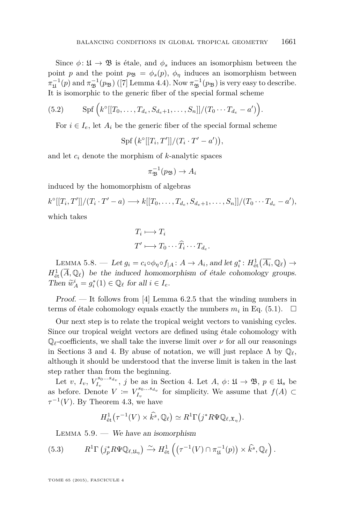<span id="page-15-0"></span>Since  $\phi: \mathfrak{U} \to \mathfrak{B}$  is étale, and  $\phi_s$  induces an isomorphism between the point *p* and the point  $p_{\mathcal{B}} = \phi_s(p)$ ,  $\phi_\eta$  induces an isomorphism between  $\pi_{\mathfrak{U}}^{-1}(p)$  and  $\pi_{\mathfrak{B}}^{-1}(p_{\mathfrak{B}})$  ([\[7\]](#page-20-0) Lemma 4.4). Now  $\pi_{\mathfrak{B}}^{-1}(p_{\mathfrak{B}})$  is very easy to describe. It is isomorphic to the generic fiber of the special formal scheme

(5.2) 
$$
\mathrm{Spf}\left(k^{\circ}[[T_0,\ldots,T_{d_e},S_{d_e+1},\ldots,S_n]]/(T_0\cdots T_{d_e}-a')\right).
$$

For  $i \in I_e$ , let  $A_i$  be the generic fiber of the special formal scheme

 $Spf(k^{\circ}[[T_i, T']]/(T_i \cdot T' - a')),$ 

and let *c<sup>i</sup>* denote the morphism of *k*-analytic spaces

$$
\pi_{\mathfrak{B}}^{-1}(p_{\mathfrak{B}}) \to A_i
$$

induced by the homomorphism of algebras

 $k^{\circ}[[T_i, T']]/(T_i \cdot T' - a) \longrightarrow k[[T_0, \ldots, T_{d_e}, S_{d_e+1}, \ldots, S_n]]/(T_0 \cdots T_{d_e} - a'),$ which takes

$$
T_i \longmapsto T_i
$$

$$
T' \longmapsto T_0 \cdots \widehat{T}_i \cdots T_{d_e}.
$$

LEMMA 5.8. — Let  $g_i = c_i \circ \phi_\eta \circ f_{|A} : A \to A_i$ , and let  $g_i^* : H^1_{\text{\'et}}(\overline{A_i}, \mathbb{Q}_\ell) \to$  $H^1_{\text{\'et}}(\overline{A},\mathbb{Q}_\ell)$  be the induced homomorphism of étale cohomology groups. Then  $\widetilde{w}_A^i = g_i^*(1) \in \mathbb{Q}_\ell$  for all  $i \in I_e$ .

Proof. — It follows from [\[4\]](#page-20-0) Lemma 6.2.5 that the winding numbers in terms of étale cohomology equals exactly the numbers  $m_i$  in Eq. [\(5.1\)](#page-13-0).  $\Box$ 

Our next step is to relate the tropical weight vectors to vanishing cycles. Since our tropical weight vectors are defined using étale cohomology with  $\mathbb{Q}_\ell$ -coefficients, we shall take the inverse limit over  $\nu$  for all our reasonings in Sections [3](#page-7-0) and [4.](#page-9-0) By abuse of notation, we will just replace  $\Lambda$  by  $\mathbb{Q}_{\ell}$ , although it should be understood that the inverse limit is taken in the last step rather than from the beginning.

Let *v*,  $I_v$ ,  $V_{I_v}^{s_0...s_{d_v}}$ , *j* be as in Section [4.](#page-9-0) Let *A*,  $\phi: \mathfrak{U} \to \mathfrak{B}$ ,  $p \in \mathfrak{U}_s$  be as before. Denote  $V := V_{I_v}^{s_0...s_{d_v}}$  for simplicity. We assume that  $f(A) \subset$  $\tau^{-1}(V)$ . By Theorem [4.3,](#page-10-0) we have

$$
H^1_{\text{\'et}}(\tau^{-1}(V)\times \hat{k}^s,\mathbb{Q}_\ell)\simeq R^1\Gamma(j^*R\Psi\mathbb{Q}_{\ell,\mathfrak{X}_{\eta}}).
$$

LEMMA  $5.9.$  — We have an isomorphism

(5.3) 
$$
R^1 \Gamma \left( j_p^* R \Psi \mathbb{Q}_{\ell, \mathfrak{U}_\eta} \right) \xrightarrow{\sim} H^1_{\text{\'et}} \left( \left( \tau^{-1}(V) \cap \pi_{\mathfrak{U}}^{-1}(p) \right) \times \hat{k}^s, \mathbb{Q}_{\ell} \right).
$$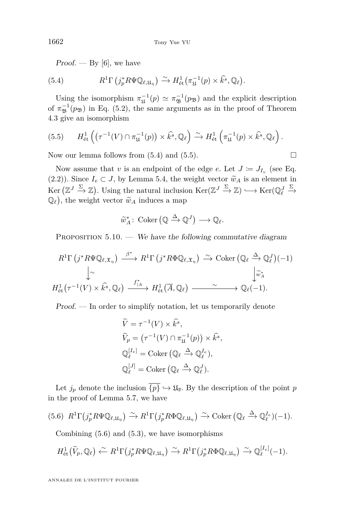<span id="page-16-0"></span> $Proof.$  — By [\[6\]](#page-20-0), we have

(5.4) 
$$
R^1 \Gamma \left( j_p^* R \Psi \mathbb{Q}_{\ell, \mathfrak{U}_\eta} \right) \xrightarrow{\sim} H^1_{\text{\'et}} \left( \pi_{\mathfrak{U}}^{-1}(p) \times \hat{k}^s, \mathbb{Q}_\ell \right).
$$

Using the isomorphism  $\pi_{\mathfrak{U}}^{-1}(p) \simeq \pi_{\mathfrak{B}}^{-1}(p_{\mathfrak{B}})$  and the explicit description of  $\pi_{\mathfrak{B}}^{-1}(p_{\mathfrak{B}})$  in Eq. [\(5.2\)](#page-15-0), the same arguments as in the proof of Theorem [4.3](#page-10-0) give an isomorphism

(5.5) 
$$
H_{\text{\'et}}^1\left((\tau^{-1}(V)\cap\pi_{\mathfrak{U}}^{-1}(p))\times\widehat{k^s},\mathbb{Q}_\ell\right)\xrightarrow{\sim} H_{\text{\'et}}^1\left(\pi_{\mathfrak{U}}^{-1}(p)\times\widehat{k^s},\mathbb{Q}_\ell\right).
$$

Now our lemma follows from  $(5.4)$  and  $(5.5)$ .

Now assume that *v* is an endpoint of the edge *e*. Let  $J \coloneqq J_{I_v}$  (see Eq. [\(2.2\)](#page-6-0)). Since  $I_e \subset J$ , by Lemma [5.4,](#page-13-0) the weight vector  $\tilde{w}_A$  is an element in  $\text{Ker}(\mathbb{Z}^J \xrightarrow{\Sigma} \mathbb{Z})$ . Using the natural inclusion  $\text{Ker}(\mathbb{Z}^J \xrightarrow{\Sigma} \mathbb{Z}) \hookrightarrow \text{Ker}(\mathbb{Q}_{\ell}^J)$  $\xrightarrow{\Sigma}$  $\mathbb{Q}_{\ell}$ , the weight vector  $\widetilde{w}_A$  induces a map

$$
\widetilde{w}_A^* \colon \operatorname{Coker} \left( \mathbb{Q} \xrightarrow{\Delta} \mathbb{Q}^J \right) \longrightarrow \mathbb{Q}_{\ell}.
$$

PROPOSITION  $5.10.$  — We have the following commutative diagram

$$
R^{1}\Gamma(j^{*}R\Psi\mathbb{Q}_{\ell,\mathfrak{X}_{\eta}}) \xrightarrow{\beta^{*}} R^{1}\Gamma(j^{*}R\Phi\mathbb{Q}_{\ell,\mathfrak{X}_{\eta}}) \xrightarrow{\sim} \text{Coker}(\mathbb{Q}_{\ell} \xrightarrow{\Delta} \mathbb{Q}_{\ell}^{J})(-1)
$$
  

$$
\downarrow \sim \qquad \qquad \downarrow \infty
$$
  

$$
H_{\text{\'et}}^{1}(\tau^{-1}(V) \times \hat{k^{s}}, \mathbb{Q}_{\ell}) \xrightarrow{f_{\mid A}^{*}} H_{\text{\'et}}^{1}(\overline{A}, \mathbb{Q}_{\ell}) \xrightarrow{\sim} \mathbb{Q}_{\ell}(-1).
$$

Proof. — In order to simplify notation, let us temporarily denote

$$
\widetilde{V} = \tau^{-1}(V) \times \widehat{k^s},
$$
\n
$$
\widetilde{V}_p = (\tau^{-1}(V) \cap \pi_{\mathfrak{U}}^{-1}(p)) \times \widehat{k^s},
$$
\n
$$
\mathbb{Q}_{\ell}^{[I_e]} = \text{Coker} \left( \mathbb{Q}_{\ell} \xrightarrow{\Delta} \mathbb{Q}_{\ell}^{I_e} \right),
$$
\n
$$
\mathbb{Q}_{\ell}^{[J]} = \text{Coker} \left( \mathbb{Q}_{\ell} \xrightarrow{\Delta} \mathbb{Q}_{\ell}^{J} \right).
$$

Let  $j_p$  denote the inclusion  $\overline{\{p\}} \hookrightarrow \mathfrak{U}_{\overline{s}}$ . By the description of the point *p* in the proof of Lemma [5.7,](#page-14-0) we have

$$
(5.6) \ \ R^1\Gamma(j_p^*R\Psi\mathbb{Q}_{\ell,\mathfrak{U}_\eta}) \xrightarrow{\sim} R^1\Gamma(j_p^*R\Phi\mathbb{Q}_{\ell,\mathfrak{U}_\eta}) \xrightarrow{\sim} \mathrm{Coker} \left(\mathbb{Q}_{\ell} \xrightarrow{\Delta} \mathbb{Q}_{\ell}^{I_e}\right)(-1).
$$

Combining (5.6) and [\(5.3\)](#page-15-0), we have isomorphisms

$$
H^1_{\text{\'et}}(\widetilde{V}_p,{\mathbb Q}_\ell)\stackrel{\sim}{\leftarrow} R^1\Gamma(j_p^*R\Psi{\mathbb Q}_{\ell,\mathfrak{U}_\eta})\stackrel{\sim}{\rightarrow} R^1\Gamma(j_p^*R\Phi{\mathbb Q}_{\ell,\mathfrak{U}_\eta})\stackrel{\sim}{\rightarrow} {\mathbb Q}^{[I_e]}_\ell(-1).
$$

ANNALES DE L'INSTITUT FOURIER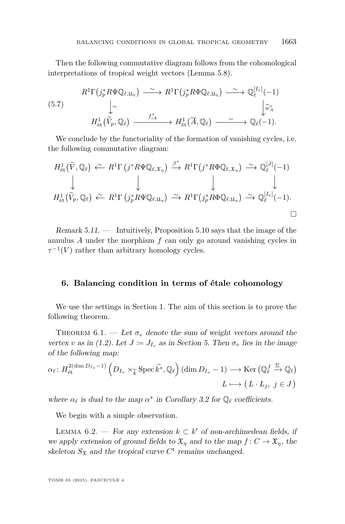<span id="page-17-0"></span>Then the following commutative diagram follows from the cohomological interpretations of tropical weight vectors (Lemma [5.8\)](#page-15-0).

$$
(5.7) \qquad R^{1}\Gamma(j_{p}^{*}R\Psi\mathbb{Q}_{\ell,\mathfrak{U}_{\eta}}) \longrightarrow R^{1}\Gamma(j_{p}^{*}R\Phi\mathbb{Q}_{\ell,\mathfrak{U}_{\eta}}) \longrightarrow \mathbb{Q}_{\ell}^{[I_{e}]}(-1)
$$
\n
$$
\downarrow \sim \qquad \qquad \downarrow \sim \qquad \qquad \downarrow \widetilde{\omega}_{A}^{*}
$$
\n
$$
H_{\text{\'et}}^{1}(\widetilde{V}_{p},\mathbb{Q}_{\ell}) \longrightarrow H_{\text{\'et}}^{1}(\overline{A},\mathbb{Q}_{\ell}) \longrightarrow \sim \mathbb{Q}_{\ell}(-1).
$$

We conclude by the functoriality of the formation of vanishing cycles, i.e. the following commutative diagram:

$$
H_{\text{\'et}}^1(\widetilde{V}, \mathbb{Q}_\ell) \stackrel{\sim}{\leftarrow} R^1\Gamma(j^*R\Psi\mathbb{Q}_{\ell, \mathfrak{X}_{\eta}}) \stackrel{\beta^*}{\longrightarrow} R^1\Gamma(j^*R\Phi\mathbb{Q}_{\ell, \mathfrak{X}_{\eta}}) \stackrel{\sim}{\longrightarrow} \mathbb{Q}_\ell^{[J]}(-1)
$$
\n
$$
\downarrow \qquad \qquad \downarrow \qquad \qquad \downarrow
$$
\n
$$
H_{\text{\'et}}^1(\widetilde{V}_p, \mathbb{Q}_\ell) \stackrel{\sim}{\leftarrow} R^1\Gamma(j_p^*R\Psi\mathbb{Q}_{\ell, \mathfrak{U}_{\eta}}) \stackrel{\sim}{\longrightarrow} R^1\Gamma(j_p^*R\Phi\mathbb{Q}_{\ell, \mathfrak{U}_{\eta}}) \stackrel{\sim}{\longrightarrow} \mathbb{Q}_\ell^{[I_e]}(-1).
$$

Remark  $5.11.$  — Intuitively, Proposition  $5.10$  says that the image of the annulus *A* under the morphism *f* can only go around vanishing cycles in  $\tau^{-1}(V)$  rather than arbitrary homology cycles.

#### **6. Balancing condition in terms of étale cohomology**

We use the settings in Section [1.](#page-1-0) The aim of this section is to prove the following theorem.

THEOREM  $6.1.$  — Let  $\sigma_v$  denote the sum of weight vectors around the vertex *v* as in [\(1.2\)](#page-3-0). Let  $J := J_{I_v}$  as in Section [5.](#page-11-0) Then  $\sigma_v$  lies in the image of the following map:

$$
\alpha_{\ell} \colon H_{\text{\'et}}^{2(\dim D_{I_v}-1)}\left(D_{I_v} \times_{\widetilde{k}} \text{Spec } \widetilde{k}^s, \mathbb{Q}_{\ell}\right)(\dim D_{I_v}-1) \longrightarrow \text{Ker}\left(\mathbb{Q}_{\ell}^J \xrightarrow{\Sigma} \mathbb{Q}_{\ell}\right)
$$

$$
L \longmapsto \left(L \cdot L_j, \ j \in J\right)
$$

where  $\alpha_{\ell}$  is dual to the map  $\alpha^*$  in Corollary [3.2](#page-8-0) for  $\mathbb{Q}_{\ell}$  coefficients.

We begin with a simple observation.

LEMMA 6.2. — For any extension  $k \subset k'$  of non-archimedean fields, if we apply extension of ground fields to  $\mathfrak{X}_n$  and to the map  $f: C \to \mathfrak{X}_n$ , the skeleton  $S_{\mathfrak{X}}$  and the tropical curve  $C^{\dagger}$  remains unchanged.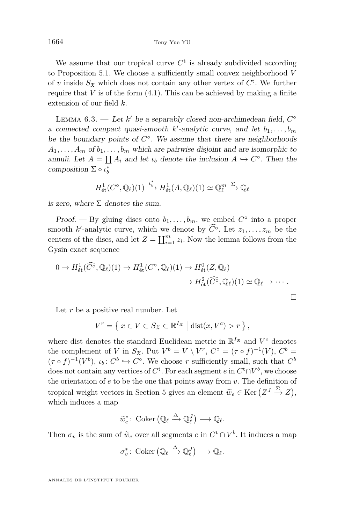<span id="page-18-0"></span>We assume that our tropical curve  $C<sup>t</sup>$  is already subdivided according to Proposition [5.1.](#page-11-0) We choose a sufficiently small convex neighborhood *V* of *v* inside  $S_{\mathfrak{X}}$  which does not contain any other vertex of  $C^{\mathfrak{t}}$ . We further require that  $V$  is of the form  $(4.1)$ . This can be achieved by making a finite extension of our field *k*.

LEMMA  $6.3.$  — Let  $k'$  be a separably closed non-archimedean field,  $C^{\circ}$ a connected compact quasi-smooth  $k'$ -analytic curve, and let  $b_1, \ldots, b_m$ be the boundary points of  $C^{\circ}$ . We assume that there are neighborhoods  $A_1, \ldots, A_m$  of  $b_1, \ldots, b_m$  which are pairwise disjoint and are isomorphic to annuli. Let  $A = \coprod A_i$  and let  $\iota_b$  denote the inclusion  $A \hookrightarrow C^{\circ}$ . Then the composition  $\Sigma \circ \iota_b^*$ 

$$
H^1_{\text{\'et}}(C^\circ,\mathbb{Q}_\ell)(1) \xrightarrow{\iota^*_{\mathfrak{b}}} H^1_{\text{\'et}}(A,\mathbb{Q}_\ell)(1) \simeq \mathbb{Q}_\ell^m \xrightarrow{\Sigma} \mathbb{Q}_\ell
$$

is zero, where  $\Sigma$  denotes the sum.

Proof. — By gluing discs onto  $b_1, \ldots, b_m$ , we embed  $C^{\circ}$  into a proper smooth *k*'-analytic curve, which we denote by  $\widehat{C}^{\circ}$ . Let  $z_1, \ldots, z_m$  be the centers of the discs, and let  $Z = \coprod_{i=1}^{m} z_i$ . Now the lemma follows from the Gysin exact sequence

$$
0 \to H^1_{\text{\'et}}(\widehat{C}^\circ, \mathbb{Q}_\ell)(1) \to H^1_{\text{\'et}}(C^\circ, \mathbb{Q}_\ell)(1) \to H^0_{\text{\'et}}(Z, \mathbb{Q}_\ell) \to H^2_{\text{\'et}}(\widehat{C}^\circ, \mathbb{Q}_\ell)(1) \simeq \mathbb{Q}_\ell \to \cdots
$$

Let r be a positive real number. Let

$$
V^r = \left\{ x \in V \subset S_{\mathfrak{X}} \subset \mathbb{R}^{I_{\mathfrak{X}}} \mid \text{dist}(x, V^c) > r \right\},\
$$

where dist denotes the standard Euclidean metric in  $\mathbb{R}^{I_{\mathfrak{X}}}$  and  $V^c$  denotes the complement of *V* in  $S_{\mathfrak{X}}$ . Put  $V^b = V \setminus V^r$ ,  $C^{\circ} = (\tau \circ f)^{-1}(V)$ ,  $C^b =$  $(\tau \circ f)^{-1}(V^b)$ ,  $\iota_b: C^b \hookrightarrow C^{\circ}$ . We choose *r* sufficiently small, such that  $C^b$ does not contain any vertices of  $C^{\mathsf{t}}$ . For each segment  $e$  in  $C^{\mathsf{t}} \cap V^b$ , we choose the orientation of *e* to be the one that points away from *v*. The definition of tropical weight vectors in Section [5](#page-11-0) gives an element  $\widetilde{w}_e \in \text{Ker}\left(Z^J \xrightarrow{\Sigma} Z\right)$ , which induces a map

$$
\widetilde{w}_e^* \colon \operatorname{Coker} \left( \mathbb{Q}_\ell \xrightarrow{\Delta} \mathbb{Q}_\ell^J \right) \longrightarrow \mathbb{Q}_\ell.
$$

Then  $\sigma_v$  is the sum of  $\tilde{w}_e$  over all segments  $e$  in  $C^{\text{t}} \cap V^b$ . It induces a map

$$
\sigma_v^* \colon \operatorname{Coker} \left( \mathbb{Q}_{\ell} \xrightarrow{\Delta} \mathbb{Q}_{\ell}^J \right) \longrightarrow \mathbb{Q}_{\ell}.
$$

ANNALES DE L'INSTITUT FOURIER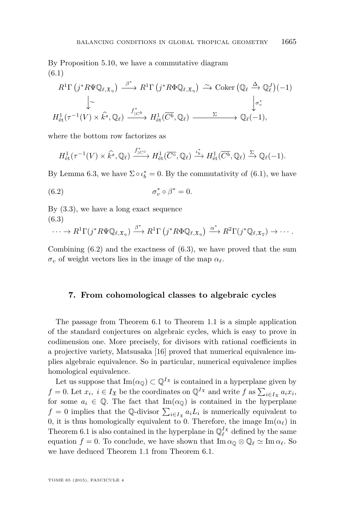<span id="page-19-0"></span>By Proposition [5.10,](#page-16-0) we have a commutative diagram (6.1)

$$
R^{1}\Gamma(j^{*}R\Psi\mathbb{Q}_{\ell,\mathfrak{X}_{\eta}}) \xrightarrow{\beta^{*}} R^{1}\Gamma(j^{*}R\Phi\mathbb{Q}_{\ell,\mathfrak{X}_{\eta}}) \xrightarrow{\sim} \text{Coker}(\mathbb{Q}_{\ell} \xrightarrow{\Delta} \mathbb{Q}_{\ell}^{J})(-1)
$$
  

$$
\downarrow \sim \qquad \qquad \downarrow \sim
$$
  

$$
H_{\text{\'et}}^{1}(\tau^{-1}(V) \times \widehat{k^{s}}, \mathbb{Q}_{\ell}) \xrightarrow{f_{|\mathcal{C}^{b}}^{*}} H_{\text{\'et}}^{1}(\overline{C^{b}}, \mathbb{Q}_{\ell}) \xrightarrow{\Sigma} \mathbb{Q}_{\ell}(-1),
$$

where the bottom row factorizes as

$$
H^1_{\text{\'et}}(\tau^{-1}(V) \times \hat{k^s}, \mathbb{Q}_\ell) \xrightarrow{f^*_{|\mathcal{C}^\circ}} H^1_{\text{\'et}}(\overline{C^\circ}, \mathbb{Q}_\ell) \xrightarrow{\iota^*_b} H^1_{\text{\'et}}(\overline{C^b}, \mathbb{Q}_\ell) \xrightarrow{\Sigma} \mathbb{Q}_\ell(-1).
$$

By Lemma [6.3,](#page-18-0) we have  $\Sigma \circ \iota_b^* = 0$ . By the commutativity of (6.1), we have

(6.2) 
$$
\sigma_v^* \circ \beta^* = 0.
$$

By [\(3.3\)](#page-8-0), we have a long exact sequence (6.3)

$$
\cdots \to R^1\Gamma(j^*R\Psi \mathbb{Q}_{\ell,\mathfrak{X}_{\eta}}) \xrightarrow{\beta^*} R^1\Gamma(j^*R\Phi \mathbb{Q}_{\ell,\mathfrak{X}_{\eta}}) \xrightarrow{\alpha^*} R^2\Gamma(j^*\mathbb{Q}_{\ell,\mathfrak{X}_{\overline{s}}}) \to \cdots.
$$

Combining  $(6.2)$  and the exactness of  $(6.3)$ , we have proved that the sum  $\sigma_v$  of weight vectors lies in the image of the map  $\alpha_\ell$ .

#### **7. From cohomological classes to algebraic cycles**

The passage from Theorem [6.1](#page-17-0) to Theorem [1.1](#page-3-0) is a simple application of the standard conjectures on algebraic cycles, which is easy to prove in codimension one. More precisely, for divisors with rational coefficients in a projective variety, Matsusaka [\[16\]](#page-20-0) proved that numerical equivalence implies algebraic equivalence. So in particular, numerical equivalence implies homological equivalence.

Let us suppose that  $\text{Im}(\alpha_0) \subset \mathbb{Q}^{I_{\mathfrak{X}}}$  is contained in a hyperplane given by  $f = 0$ . Let  $x_i$ ,  $i \in I_{\mathfrak{X}}$  be the coordinates on  $\mathbb{Q}^{I_{\mathfrak{X}}}$  and write  $f$  as  $\sum_{i \in I_{\mathfrak{X}}} a_i x_i$ , for some  $a_i \in \mathbb{Q}$ . The fact that Im( $\alpha_{\mathbb{Q}}$ ) is contained in the hyperplane  $f = 0$  implies that the Q-divisor  $\sum_{i \in I_{\mathfrak{X}}} a_i L_i$  is numerically equivalent to 0, it is thus homologically equivalent to 0. Therefore, the image  $\text{Im}(\alpha_\ell)$  in Theorem [6.1](#page-17-0) is also contained in the hyperplane in  $\mathbb{Q}_{\ell}^{I_{\mathfrak{X}}}$  defined by the same equation  $f = 0$ . To conclude, we have shown that  $\text{Im}\,\alpha_0 \otimes \mathbb{Q}_\ell \simeq \text{Im}\,\alpha_\ell$ . So we have deduced Theorem [1.1](#page-3-0) from Theorem [6.1.](#page-17-0)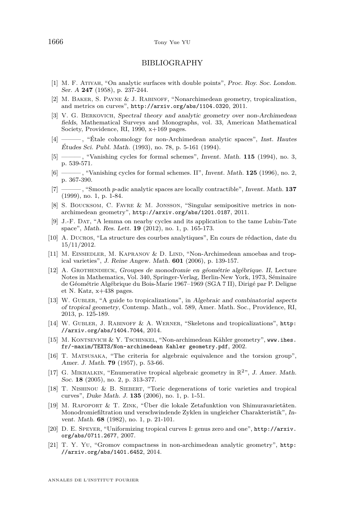#### BIBLIOGRAPHY

- <span id="page-20-0"></span>[1] M. F. Atiyah, "On analytic surfaces with double points", Proc. Roy. Soc. London. Ser. A **247** (1958), p. 237-244.
- [2] M. Baker, S. Payne & J. Rabinoff, "Nonarchimedean geometry, tropicalization, and metrics on curves", <http://arxiv.org/abs/1104.0320>, 2011.
- [3] V. G. Berkovich, Spectral theory and analytic geometry over non-Archimedean fields, Mathematical Surveys and Monographs, vol. 33, American Mathematical Society, Providence, RI, 1990, x+169 pages.
- [4] ——— , "Étale cohomology for non-Archimedean analytic spaces", Inst. Hautes Études Sci. Publ. Math. (1993), no. 78, p. 5-161 (1994).
- [5] ——— , "Vanishing cycles for formal schemes", Invent. Math. **115** (1994), no. 3, p. 539-571.
- [6] ——— , "Vanishing cycles for formal schemes. II", Invent. Math. **125** (1996), no. 2, p. 367-390.
- [7] ——— , "Smooth *p*-adic analytic spaces are locally contractible", Invent. Math. **137** (1999), no. 1, p. 1-84.
- [8] S. Boucksom, C. Favre & M. Jonsson, "Singular semipositive metrics in nonarchimedean geometry", <http://arxiv.org/abs/1201.0187>, 2011.
- [9] J.-F. Dat, "A lemma on nearby cycles and its application to the tame Lubin-Tate space", Math. Res. Lett. **19** (2012), no. 1, p. 165-173.
- [10] A. Ducros, "La structure des courbes analytiques", En cours de rédaction, date du 15/11/2012.
- [11] M. EINSIEDLER, M. KAPRANOV & D. LIND, "Non-Archimedean amoebas and tropical varieties", J. Reine Angew. Math. **601** (2006), p. 139-157.
- [12] A. Grothendieck, Groupes de monodromie en géométrie algébrique. II, Lecture Notes in Mathematics, Vol. 340, Springer-Verlag, Berlin-New York, 1973, Séminaire de Géométrie Algébrique du Bois-Marie 1967–1969 (SGA 7 II), Dirigé par P. Deligne et N. Katz, x+438 pages.
- [13] W. GUBLER, "A guide to tropicalizations", in Algebraic and combinatorial aspects of tropical geometry, Contemp. Math., vol. 589, Amer. Math. Soc., Providence, RI, 2013, p. 125-189.
- [14] W. Gubler, J. Rabinoff & A. Werner, "Skeletons and tropicalizations", [http:](http://arxiv.org/abs/1404.7044) [//arxiv.org/abs/1404.7044](http://arxiv.org/abs/1404.7044), 2014.
- [15] M. KONTSEVICH & Y. TSCHINKEL, "Non-archimedean Kähler geometry", [www.ihes.](www.ihes.fr/~maxim/TEXTS/Non-archimedean Kahler geometry.pdf) [fr/~maxim/TEXTS/Non-archimedean Kahler geometry.pdf](www.ihes.fr/~maxim/TEXTS/Non-archimedean Kahler geometry.pdf), 2002.
- [16] T. Matsusaka, "The criteria for algebraic equivalence and the torsion group", Amer. J. Math. **79** (1957), p. 53-66.
- [17] G. MIKHALKIN, "Enumerative tropical algebraic geometry in  $\mathbb{R}^2$ ", J. Amer. Math. Soc. **18** (2005), no. 2, p. 313-377.
- [18] T. Nishinou & B. Siebert, "Toric degenerations of toric varieties and tropical curves", Duke Math. J. **135** (2006), no. 1, p. 1-51.
- [19] M. Rapoport & T. Zink, "Über die lokale Zetafunktion von Shimuravarietäten. Monodromiefiltration und verschwindende Zyklen in ungleicher Charakteristik", Invent. Math. **68** (1982), no. 1, p. 21-101.
- [20] D. E. Speyer, "Uniformizing tropical curves I: genus zero and one", [http://arxiv.](http://arxiv.org/abs/0711.2677) [org/abs/0711.2677](http://arxiv.org/abs/0711.2677), 2007.
- [21] T. Y. Yu, "Gromov compactness in non-archimedean analytic geometry", [http:](http://arxiv.org/abs/1401.6452) [//arxiv.org/abs/1401.6452](http://arxiv.org/abs/1401.6452), 2014.